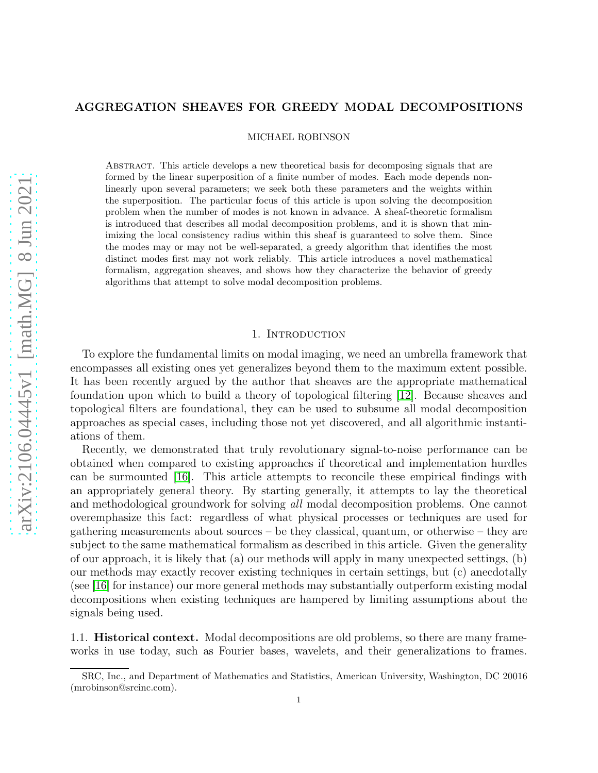# AGGREGATION SHEAVES FOR GREEDY MODAL DECOMPOSITIONS

MICHAEL ROBINSON

Abstract. This article develops a new theoretical basis for decomposing signals that are formed by the linear superposition of a finite number of modes. Each mode depends nonlinearly upon several parameters; we seek both these parameters and the weights within the superposition. The particular focus of this article is upon solving the decomposition problem when the number of modes is not known in advance. A sheaf-theoretic formalism is introduced that describes all modal decomposition problems, and it is shown that minimizing the local consistency radius within this sheaf is guaranteed to solve them. Since the modes may or may not be well-separated, a greedy algorithm that identifies the most distinct modes first may not work reliably. This article introduces a novel mathematical formalism, aggregation sheaves, and shows how they characterize the behavior of greedy algorithms that attempt to solve modal decomposition problems.

## 1. INTRODUCTION

To explore the fundamental limits on modal imaging, we need an umbrella framework that encompasses all existing ones yet generalizes beyond them to the maximum extent possible. It has been recently argued by the author that sheaves are the appropriate mathematical foundation upon which to build a theory of topological filtering [\[12\]](#page-20-0). Because sheaves and topological filters are foundational, they can be used to subsume all modal decomposition approaches as special cases, including those not yet discovered, and all algorithmic instantiations of them.

Recently, we demonstrated that truly revolutionary signal-to-noise performance can be obtained when compared to existing approaches if theoretical and implementation hurdles can be surmounted [\[16\]](#page-20-1). This article attempts to reconcile these empirical findings with an appropriately general theory. By starting generally, it attempts to lay the theoretical and methodological groundwork for solving all modal decomposition problems. One cannot overemphasize this fact: regardless of what physical processes or techniques are used for gathering measurements about sources – be they classical, quantum, or otherwise – they are subject to the same mathematical formalism as described in this article. Given the generality of our approach, it is likely that (a) our methods will apply in many unexpected settings, (b) our methods may exactly recover existing techniques in certain settings, but (c) anecdotally (see [\[16\]](#page-20-1) for instance) our more general methods may substantially outperform existing modal decompositions when existing techniques are hampered by limiting assumptions about the signals being used.

1.1. Historical context. Modal decompositions are old problems, so there are many frameworks in use today, such as Fourier bases, wavelets, and their generalizations to frames.

SRC, Inc., and Department of Mathematics and Statistics, American University, Washington, DC 20016 (mrobinson@srcinc.com).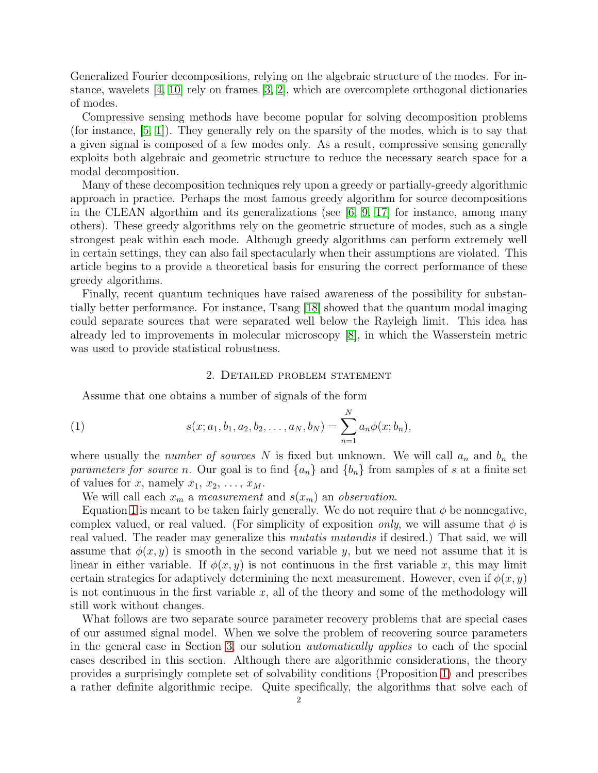Generalized Fourier decompositions, relying on the algebraic structure of the modes. For instance, wavelets  $[4, 10]$  $[4, 10]$  rely on frames  $[3, 2]$  $[3, 2]$ , which are overcomplete orthogonal dictionaries of modes.

Compressive sensing methods have become popular for solving decomposition problems (for instance, [\[5,](#page-20-6) [1\]](#page-20-7)). They generally rely on the sparsity of the modes, which is to say that a given signal is composed of a few modes only. As a result, compressive sensing generally exploits both algebraic and geometric structure to reduce the necessary search space for a modal decomposition.

Many of these decomposition techniques rely upon a greedy or partially-greedy algorithmic approach in practice. Perhaps the most famous greedy algorithm for source decompositions in the CLEAN algorithm and its generalizations (see  $[6, 9, 17]$  $[6, 9, 17]$  $[6, 9, 17]$  for instance, among many others). These greedy algorithms rely on the geometric structure of modes, such as a single strongest peak within each mode. Although greedy algorithms can perform extremely well in certain settings, they can also fail spectacularly when their assumptions are violated. This article begins to a provide a theoretical basis for ensuring the correct performance of these greedy algorithms.

Finally, recent quantum techniques have raised awareness of the possibility for substantially better performance. For instance, Tsang [\[18\]](#page-20-11) showed that the quantum modal imaging could separate sources that were separated well below the Rayleigh limit. This idea has already led to improvements in molecular microscopy [\[8\]](#page-20-12), in which the Wasserstein metric was used to provide statistical robustness.

## <span id="page-1-0"></span>2. Detailed problem statement

<span id="page-1-1"></span>Assume that one obtains a number of signals of the form

(1) 
$$
s(x; a_1, b_1, a_2, b_2, \dots, a_N, b_N) = \sum_{n=1}^N a_n \phi(x; b_n),
$$

where usually the *number of sources* N is fixed but unknown. We will call  $a_n$  and  $b_n$  the parameters for source n. Our goal is to find  $\{a_n\}$  and  $\{b_n\}$  from samples of s at a finite set of values for x, namely  $x_1, x_2, \ldots, x_M$ .

We will call each  $x_m$  a *measurement* and  $s(x_m)$  an *observation*.

Equation [1](#page-1-0) is meant to be taken fairly generally. We do not require that  $\phi$  be nonnegative, complex valued, or real valued. (For simplicity of exposition *only*, we will assume that  $\phi$  is real valued. The reader may generalize this *mutatis mutandis* if desired.) That said, we will assume that  $\phi(x, y)$  is smooth in the second variable y, but we need not assume that it is linear in either variable. If  $\phi(x, y)$  is not continuous in the first variable x, this may limit certain strategies for adaptively determining the next measurement. However, even if  $\phi(x, y)$ is not continuous in the first variable  $x$ , all of the theory and some of the methodology will still work without changes.

What follows are two separate source parameter recovery problems that are special cases of our assumed signal model. When we solve the problem of recovering source parameters in the general case in Section [3,](#page-2-0) our solution automatically applies to each of the special cases described in this section. Although there are algorithmic considerations, the theory provides a surprisingly complete set of solvability conditions (Proposition [1\)](#page-5-0) and prescribes a rather definite algorithmic recipe. Quite specifically, the algorithms that solve each of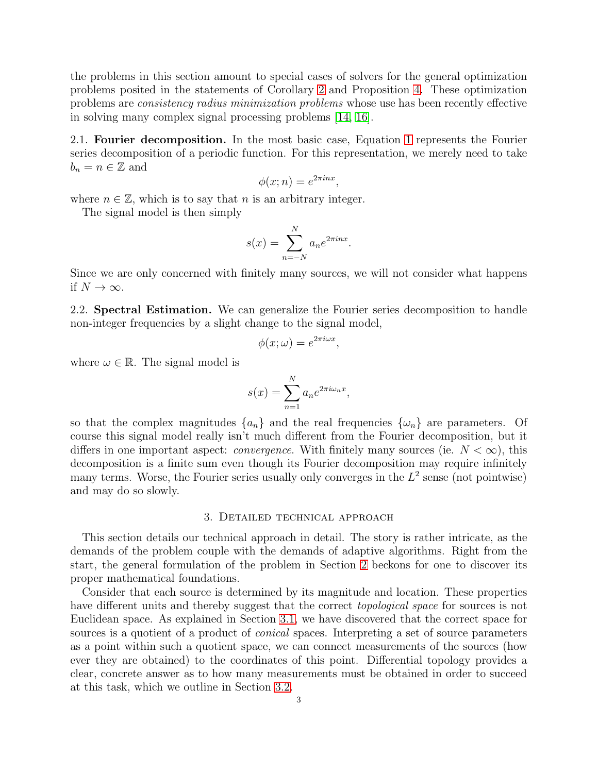the problems in this section amount to special cases of solvers for the general optimization problems posited in the statements of Corollary [2](#page-6-0) and Proposition [4.](#page-13-0) These optimization problems are consistency radius minimization problems whose use has been recently effective in solving many complex signal processing problems [\[14,](#page-20-13) [16\]](#page-20-1).

2.1. Fourier decomposition. In the most basic case, Equation [1](#page-1-0) represents the Fourier series decomposition of a periodic function. For this representation, we merely need to take  $b_n = n \in \mathbb{Z}$  and

$$
\phi(x;n) = e^{2\pi i nx},
$$

where  $n \in \mathbb{Z}$ , which is to say that n is an arbitrary integer.

The signal model is then simply

$$
s(x) = \sum_{n=-N}^{N} a_n e^{2\pi i n x}.
$$

Since we are only concerned with finitely many sources, we will not consider what happens if  $N \to \infty$ .

<span id="page-2-1"></span>2.2. Spectral Estimation. We can generalize the Fourier series decomposition to handle non-integer frequencies by a slight change to the signal model,

$$
\phi(x;\omega) = e^{2\pi i \omega x},
$$

where  $\omega \in \mathbb{R}$ . The signal model is

$$
s(x) = \sum_{n=1}^{N} a_n e^{2\pi i \omega_n x},
$$

so that the complex magnitudes  $\{a_n\}$  and the real frequencies  $\{\omega_n\}$  are parameters. Of course this signal model really isn't much different from the Fourier decomposition, but it differs in one important aspect: *convergence*. With finitely many sources (ie.  $N < \infty$ ), this decomposition is a finite sum even though its Fourier decomposition may require infinitely many terms. Worse, the Fourier series usually only converges in the  $L^2$  sense (not pointwise) and may do so slowly.

#### 3. Detailed technical approach

<span id="page-2-0"></span>This section details our technical approach in detail. The story is rather intricate, as the demands of the problem couple with the demands of adaptive algorithms. Right from the start, the general formulation of the problem in Section [2](#page-1-1) beckons for one to discover its proper mathematical foundations.

Consider that each source is determined by its magnitude and location. These properties have different units and thereby suggest that the correct *topological space* for sources is not Euclidean space. As explained in Section [3.1,](#page-3-0) we have discovered that the correct space for sources is a quotient of a product of *conical* spaces. Interpreting a set of source parameters as a point within such a quotient space, we can connect measurements of the sources (how ever they are obtained) to the coordinates of this point. Differential topology provides a clear, concrete answer as to how many measurements must be obtained in order to succeed at this task, which we outline in Section [3.2.](#page-4-0)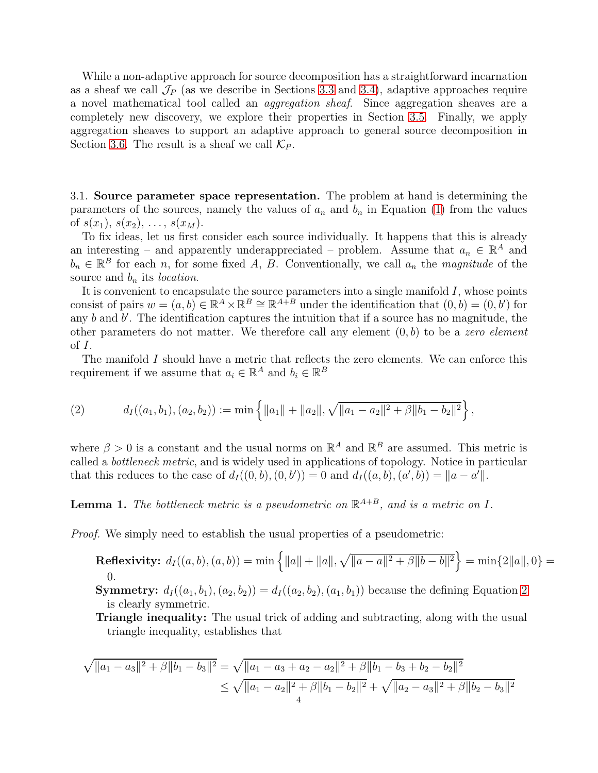While a non-adaptive approach for source decomposition has a straightforward incarnation as a sheaf we call  $\mathcal{J}_P$  (as we describe in Sections [3.3](#page-6-1) and [3.4\)](#page-7-0), adaptive approaches require a novel mathematical tool called an aggregation sheaf. Since aggregation sheaves are a completely new discovery, we explore their properties in Section [3.5.](#page-8-0) Finally, we apply aggregation sheaves to support an adaptive approach to general source decomposition in Section [3.6.](#page-11-0) The result is a sheaf we call  $\mathcal{K}_P$ .

<span id="page-3-0"></span>3.1. Source parameter space representation. The problem at hand is determining the parameters of the sources, namely the values of  $a_n$  and  $b_n$  in Equation [\(1\)](#page-1-0) from the values of  $s(x_1), s(x_2), \ldots, s(x_M)$ .

To fix ideas, let us first consider each source individually. It happens that this is already an interesting – and apparently underappreciated – problem. Assume that  $a_n \in \mathbb{R}^A$  and  $b_n \in \mathbb{R}^B$  for each n, for some fixed A, B. Conventionally, we call  $a_n$  the magnitude of the source and  $b_n$  its *location*.

It is convenient to encapsulate the source parameters into a single manifold  $I$ , whose points consist of pairs  $w = (a, b) \in \mathbb{R}^A \times \mathbb{R}^B \cong \mathbb{R}^{A+B}$  under the identification that  $(0, b) = (0, b')$  for any  $b$  and  $b'$ . The identification captures the intuition that if a source has no magnitude, the other parameters do not matter. We therefore call any element  $(0, b)$  to be a zero element of  $I$ .

The manifold I should have a metric that reflects the zero elements. We can enforce this requirement if we assume that  $a_i \in \mathbb{R}^A$  and  $b_i \in \mathbb{R}^B$ 

<span id="page-3-1"></span>(2) 
$$
d_I((a_1,b_1),(a_2,b_2)) := \min\left\{\|a_1\| + \|a_2\|, \sqrt{\|a_1-a_2\|^2 + \beta\|b_1-b_2\|^2}\right\},
$$

where  $\beta > 0$  is a constant and the usual norms on  $\mathbb{R}^A$  and  $\mathbb{R}^B$  are assumed. This metric is called a bottleneck metric, and is widely used in applications of topology. Notice in particular that this reduces to the case of  $d_I((0, b), (0, b')) = 0$  and  $d_I((a, b), (a', b)) = ||a - a'||$ .

**Lemma 1.** The bottleneck metric is a pseudometric on  $\mathbb{R}^{A+B}$ , and is a metric on I.

*Proof.* We simply need to establish the usual properties of a pseudometric:

Reflexivity:  $d_I((a, b), (a, b)) = \min \{||a|| + ||a||, \sqrt{||a - a||^2 + \beta ||b - b||^2} \} = \min \{2||a||, 0\}$ 0.

**Symmetry:**  $d_I((a_1, b_1), (a_2, b_2)) = d_I((a_2, b_2), (a_1, b_1))$  because the defining Equation [2](#page-3-1) is clearly symmetric.

Triangle inequality: The usual trick of adding and subtracting, along with the usual triangle inequality, establishes that

$$
\sqrt{\|a_1 - a_3\|^2 + \beta \|b_1 - b_3\|^2} = \sqrt{\|a_1 - a_3 + a_2 - a_2\|^2 + \beta \|b_1 - b_3 + b_2 - b_2\|^2}
$$
  
 
$$
\leq \sqrt{\|a_1 - a_2\|^2 + \beta \|b_1 - b_2\|^2} + \sqrt{\|a_2 - a_3\|^2 + \beta \|b_2 - b_3\|^2}
$$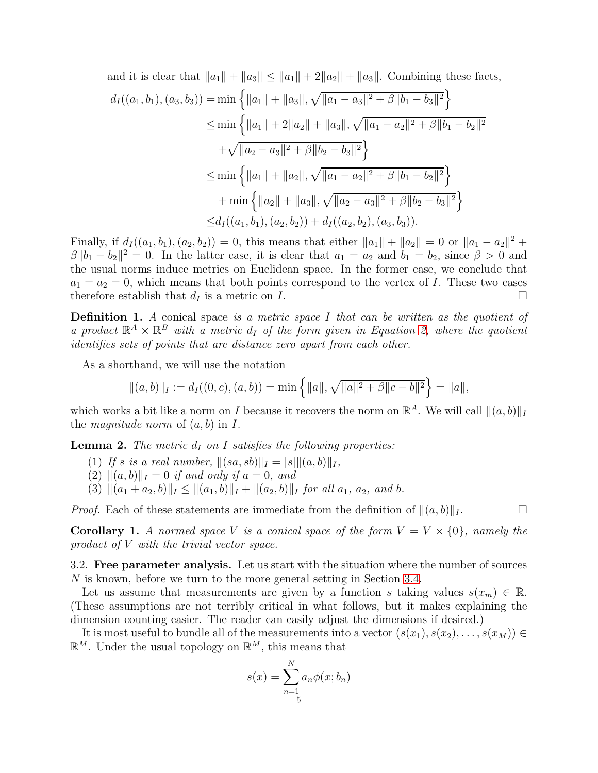and it is clear that  $||a_1|| + ||a_3|| \le ||a_1|| + 2||a_2|| + ||a_3||$ . Combining these facts,

$$
d_I((a_1, b_1), (a_3, b_3)) = \min \left\{ ||a_1|| + ||a_3||, \sqrt{||a_1 - a_3||^2 + \beta ||b_1 - b_3||^2} \right\}
$$
  
\n
$$
\leq \min \left\{ ||a_1|| + 2||a_2|| + ||a_3||, \sqrt{||a_1 - a_2||^2 + \beta ||b_1 - b_2||^2} + \sqrt{||a_2 - a_3||^2 + \beta ||b_2 - b_3||^2} \right\}
$$
  
\n
$$
\leq \min \left\{ ||a_1|| + ||a_2||, \sqrt{||a_1 - a_2||^2 + \beta ||b_1 - b_2||^2} \right\}
$$
  
\n
$$
+ \min \left\{ ||a_2|| + ||a_3||, \sqrt{||a_2 - a_3||^2 + \beta ||b_2 - b_3||^2} \right\}
$$
  
\n
$$
\leq d_I((a_1, b_1), (a_2, b_2)) + d_I((a_2, b_2), (a_3, b_3)).
$$

Finally, if  $d_I((a_1, b_1), (a_2, b_2)) = 0$ , this means that either  $||a_1|| + ||a_2|| = 0$  or  $||a_1 - a_2||^2 +$  $\beta \|b_1 - b_2\|^2 = 0$ . In the latter case, it is clear that  $a_1 = a_2$  and  $b_1 = b_2$ , since  $\beta > 0$  and the usual norms induce metrics on Euclidean space. In the former case, we conclude that  $a_1 = a_2 = 0$ , which means that both points correspond to the vertex of I. These two cases therefore establish that  $d_I$  is a metric on I.

**Definition 1.** A conical space is a metric space I that can be written as the quotient of a product  $\mathbb{R}^A \times \mathbb{R}^B$  with a metric  $d_I$  of the form given in Equation [2,](#page-3-1) where the quotient identifies sets of points that are distance zero apart from each other.

As a shorthand, we will use the notation

$$
\|(a,b)\|_{I} := d_{I}((0,c),(a,b)) = \min\left\{\|a\|,\sqrt{\|a\|^{2} + \beta\|c - b\|^{2}}\right\} = \|a\|,
$$

which works a bit like a norm on I because it recovers the norm on  $\mathbb{R}^A$ . We will call  $\|(a, b)\|_I$ the *magnitude norm* of  $(a, b)$  in I.

**Lemma 2.** The metric  $d_I$  on I satisfies the following properties:

- (1) If s is a real number,  $||(sa, sb)||_I = |s|||(a, b)||_I$ ,
- (2)  $\|(a, b)\|_{I} = 0$  if and only if  $a = 0$ , and
- (3)  $||(a_1 + a_2, b)||_I \leq ||(a_1, b)||_I + ||(a_2, b)||_I$  for all  $a_1, a_2,$  and b.

*Proof.* Each of these statements are immediate from the definition of  $||(a, b)||_I$ .

**Corollary 1.** A normed space V is a conical space of the form  $V = V \times \{0\}$ , namely the product of V with the trivial vector space.

<span id="page-4-0"></span>3.2. Free parameter analysis. Let us start with the situation where the number of sources N is known, before we turn to the more general setting in Section [3.4.](#page-7-0)

Let us assume that measurements are given by a function s taking values  $s(x_m) \in \mathbb{R}$ . (These assumptions are not terribly critical in what follows, but it makes explaining the dimension counting easier. The reader can easily adjust the dimensions if desired.)

It is most useful to bundle all of the measurements into a vector  $(s(x_1), s(x_2), \ldots, s(x_M)) \in$  $\mathbb{R}^M$ . Under the usual topology on  $\mathbb{R}^M$ , this means that

$$
s(x) = \sum_{n=1}^{N} a_n \phi(x; b_n)
$$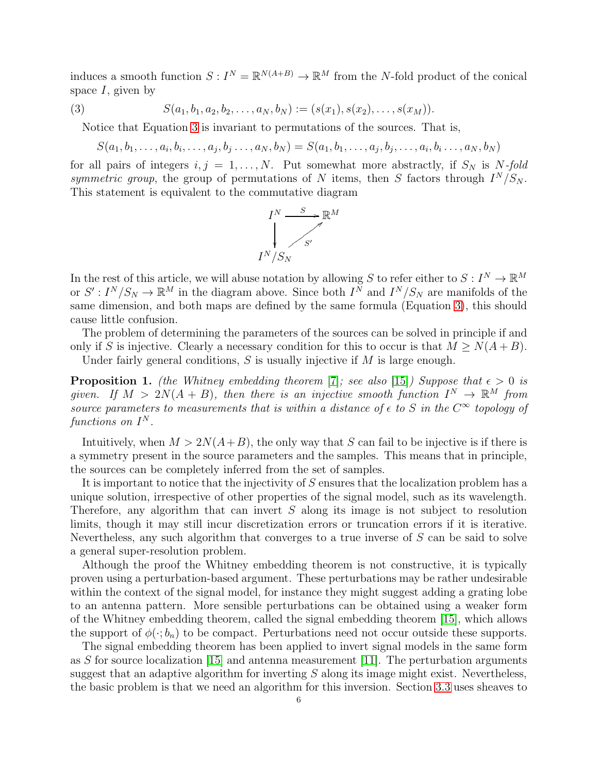induces a smooth function  $S: I^N = \mathbb{R}^{N(A+B)} \to \mathbb{R}^M$  from the N-fold product of the conical space  $I$ , given by

(3) 
$$
S(a_1, b_1, a_2, b_2, \ldots, a_N, b_N) := (s(x_1), s(x_2), \ldots, s(x_M)).
$$

Notice that Equation [3](#page-5-1) is invariant to permutations of the sources. That is,

<span id="page-5-1"></span>
$$
S(a_1, b_1, \ldots, a_i, b_i, \ldots, a_j, b_j \ldots, a_N, b_N) = S(a_1, b_1, \ldots, a_j, b_j, \ldots, a_i, b_i \ldots, a_N, b_N)
$$

for all pairs of integers  $i, j = 1, ..., N$ . Put somewhat more abstractly, if  $S_N$  is N-fold symmetric group, the group of permutations of N items, then S factors through  $I^N/S_N$ . This statement is equivalent to the commutative diagram



In the rest of this article, we will abuse notation by allowing S to refer either to  $S: I^N \to \mathbb{R}^M$ or  $S': I^N/S_N \to \mathbb{R}^M$  in the diagram above. Since both  $I^N$  and  $I^N/S_N$  are manifolds of the same dimension, and both maps are defined by the same formula (Equation [3\)](#page-5-1), this should cause little confusion.

The problem of determining the parameters of the sources can be solved in principle if and only if S is injective. Clearly a necessary condition for this to occur is that  $M \ge N(A+B)$ .

Under fairly general conditions,  $S$  is usually injective if  $M$  is large enough.

<span id="page-5-0"></span>**Proposition 1.** (the Whitney embedding theorem [\[7\]](#page-20-14); see also [\[15\]](#page-20-15)) Suppose that  $\epsilon > 0$  is given. If  $M > 2N(A + B)$ , then there is an injective smooth function  $I^N \to \mathbb{R}^M$  from source parameters to measurements that is within a distance of  $\epsilon$  to S in the  $C^{\infty}$  topology of functions on  $I^N$ .

Intuitively, when  $M > 2N(A+B)$ , the only way that S can fail to be injective is if there is a symmetry present in the source parameters and the samples. This means that in principle, the sources can be completely inferred from the set of samples.

It is important to notice that the injectivity of S ensures that the localization problem has a unique solution, irrespective of other properties of the signal model, such as its wavelength. Therefore, any algorithm that can invert  $S$  along its image is not subject to resolution limits, though it may still incur discretization errors or truncation errors if it is iterative. Nevertheless, any such algorithm that converges to a true inverse of S can be said to solve a general super-resolution problem.

Although the proof the Whitney embedding theorem is not constructive, it is typically proven using a perturbation-based argument. These perturbations may be rather undesirable within the context of the signal model, for instance they might suggest adding a grating lobe to an antenna pattern. More sensible perturbations can be obtained using a weaker form of the Whitney embedding theorem, called the signal embedding theorem [\[15\]](#page-20-15), which allows the support of  $\phi(\cdot; b_n)$  to be compact. Perturbations need not occur outside these supports.

The signal embedding theorem has been applied to invert signal models in the same form as S for source localization  $[15]$  and antenna measurement  $[11]$ . The perturbation arguments suggest that an adaptive algorithm for inverting  $S$  along its image might exist. Nevertheless, the basic problem is that we need an algorithm for this inversion. Section [3.3](#page-6-1) uses sheaves to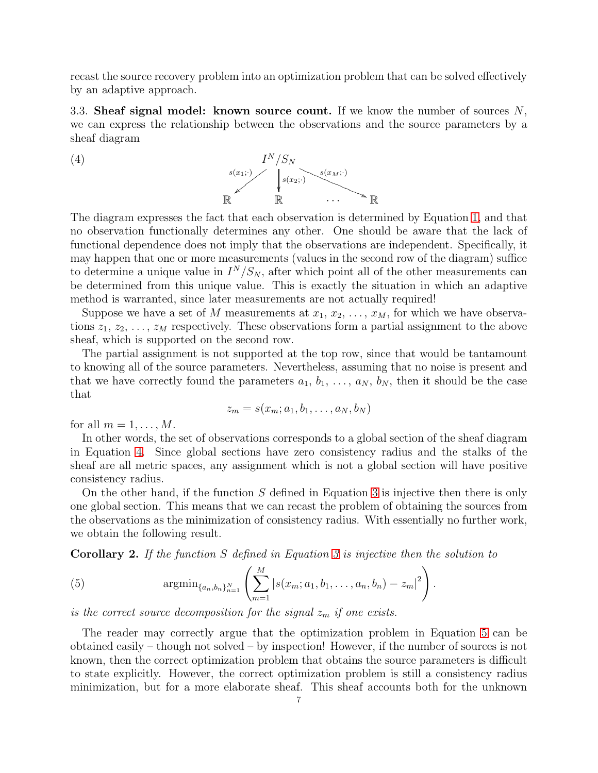recast the source recovery problem into an optimization problem that can be solved effectively by an adaptive approach.

<span id="page-6-1"></span>3.3. Sheaf signal model: known source count. If we know the number of sources  $N$ , we can express the relationship between the observations and the source parameters by a sheaf diagram

<span id="page-6-2"></span>

The diagram expresses the fact that each observation is determined by Equation [1,](#page-1-0) and that no observation functionally determines any other. One should be aware that the lack of functional dependence does not imply that the observations are independent. Specifically, it may happen that one or more measurements (values in the second row of the diagram) suffice to determine a unique value in  $I^N/S_N$ , after which point all of the other measurements can be determined from this unique value. This is exactly the situation in which an adaptive method is warranted, since later measurements are not actually required!

Suppose we have a set of M measurements at  $x_1, x_2, \ldots, x_M$ , for which we have observations  $z_1, z_2, \ldots, z_M$  respectively. These observations form a partial assignment to the above sheaf, which is supported on the second row.

The partial assignment is not supported at the top row, since that would be tantamount to knowing all of the source parameters. Nevertheless, assuming that no noise is present and that we have correctly found the parameters  $a_1, b_1, \ldots, a_N, b_N$ , then it should be the case that

$$
z_m = s(x_m; a_1, b_1, \ldots, a_N, b_N)
$$

for all  $m = 1, \ldots, M$ .

In other words, the set of observations corresponds to a global section of the sheaf diagram in Equation [4.](#page-6-2) Since global sections have zero consistency radius and the stalks of the sheaf are all metric spaces, any assignment which is not a global section will have positive consistency radius.

On the other hand, if the function  $S$  defined in Equation [3](#page-5-1) is injective then there is only one global section. This means that we can recast the problem of obtaining the sources from the observations as the minimization of consistency radius. With essentially no further work, we obtain the following result.

<span id="page-6-0"></span>Corollary 2. If the function S defined in Equation [3](#page-5-1) is injective then the solution to

<span id="page-6-3"></span>(5) 
$$
\mathop{\rm argmin}_{\{a_n,b_n\}_{n=1}^N} \left( \sum_{m=1}^M |s(x_m;a_1,b_1,\ldots,a_n,b_n) - z_m|^2 \right).
$$

is the correct source decomposition for the signal  $z_m$  if one exists.

The reader may correctly argue that the optimization problem in Equation [5](#page-6-3) can be obtained easily – though not solved – by inspection! However, if the number of sources is not known, then the correct optimization problem that obtains the source parameters is difficult to state explicitly. However, the correct optimization problem is still a consistency radius minimization, but for a more elaborate sheaf. This sheaf accounts both for the unknown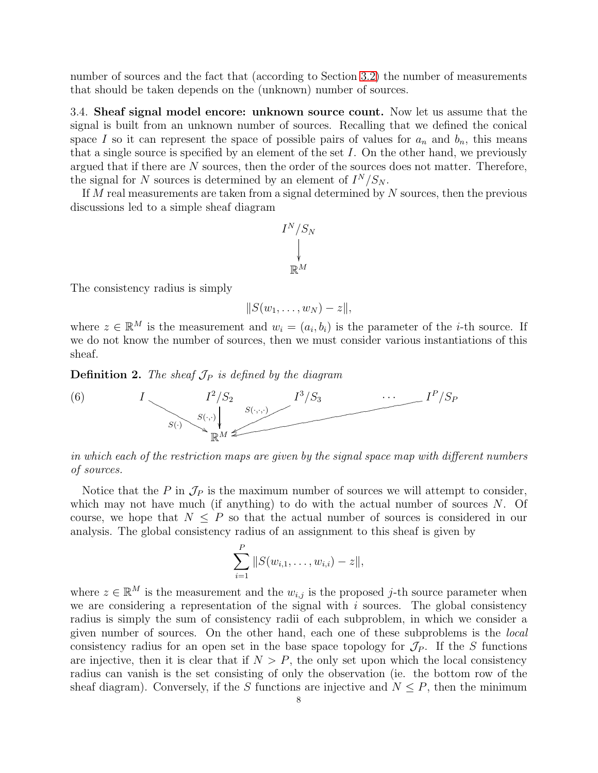number of sources and the fact that (according to Section [3.2\)](#page-4-0) the number of measurements that should be taken depends on the (unknown) number of sources.

<span id="page-7-0"></span>3.4. Sheaf signal model encore: unknown source count. Now let us assume that the signal is built from an unknown number of sources. Recalling that we defined the conical space I so it can represent the space of possible pairs of values for  $a_n$  and  $b_n$ , this means that a single source is specified by an element of the set  $I$ . On the other hand, we previously argued that if there are N sources, then the order of the sources does not matter. Therefore, the signal for N sources is determined by an element of  $I^N/S_N$ .

If M real measurements are taken from a signal determined by  $N$  sources, then the previous discussions led to a simple sheaf diagram

$$
I^N/S_N
$$
  
\n
$$
\downarrow
$$
  
\n
$$
\mathbb{R}^M
$$

The consistency radius is simply

$$
||S(w_1,\ldots,w_N)-z||,
$$

where  $z \in \mathbb{R}^M$  is the measurement and  $w_i = (a_i, b_i)$  is the parameter of the *i*-th source. If we do not know the number of sources, then we must consider various instantiations of this sheaf.

<span id="page-7-1"></span>**Definition 2.** The sheaf  $\mathcal{J}_P$  is defined by the diagram



in which each of the restriction maps are given by the signal space map with different numbers of sources.

Notice that the P in  $\mathcal{J}_P$  is the maximum number of sources we will attempt to consider, which may not have much (if anything) to do with the actual number of sources  $N$ . Of course, we hope that  $N \leq P$  so that the actual number of sources is considered in our analysis. The global consistency radius of an assignment to this sheaf is given by

$$
\sum_{i=1}^P \|S(w_{i,1},\ldots,w_{i,i})-z\|,
$$

where  $z \in \mathbb{R}^M$  is the measurement and the  $w_{i,j}$  is the proposed j-th source parameter when we are considering a representation of the signal with  $i$  sources. The global consistency radius is simply the sum of consistency radii of each subproblem, in which we consider a given number of sources. On the other hand, each one of these subproblems is the *local* consistency radius for an open set in the base space topology for  $\mathcal{J}_P$ . If the S functions are injective, then it is clear that if  $N > P$ , the only set upon which the local consistency radius can vanish is the set consisting of only the observation (ie. the bottom row of the sheaf diagram). Conversely, if the S functions are injective and  $N \leq P$ , then the minimum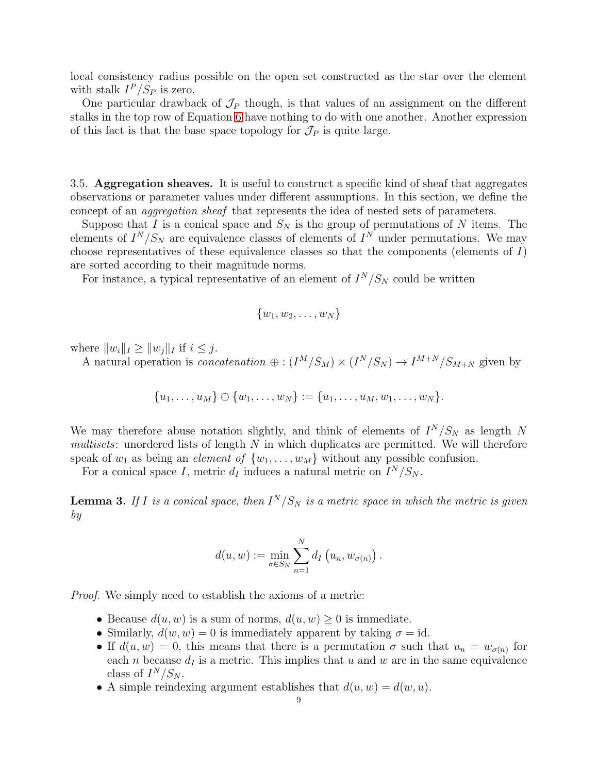local consistency radius possible on the open set constructed as the star over the element with stalk  $I^P/S_P$  is zero.

One particular drawback of  $\mathcal{J}_P$  though, is that values of an assignment on the different stalks in the top row of Equation [6](#page-7-1) have nothing to do with one another. Another expression of this fact is that the base space topology for  $\mathcal{J}_P$  is quite large.

<span id="page-8-0"></span>3.5. Aggregation sheaves. It is useful to construct a specific kind of sheaf that aggregates observations or parameter values under different assumptions. In this section, we define the concept of an aggregation sheaf that represents the idea of nested sets of parameters.

Suppose that I is a conical space and  $S_N$  is the group of permutations of N items. The elements of  $I^N/S_N$  are equivalence classes of elements of  $I^N$  under permutations. We may choose representatives of these equivalence classes so that the components (elements of I) are sorted according to their magnitude norms.

For instance, a typical representative of an element of  $I^N/S_N$  could be written

$$
\{w_1, w_2, \ldots, w_N\}
$$

where  $||w_i||_I \geq ||w_j||_I$  if  $i \leq j$ .

A natural operation is *concatenation*  $\oplus$  :  $(I^M/S_M) \times (I^N/S_N) \rightarrow I^{M+N}/S_{M+N}$  given by

$$
\{u_1, \ldots, u_M\} \oplus \{w_1, \ldots, w_N\} := \{u_1, \ldots, u_M, w_1, \ldots, w_N\}.
$$

We may therefore abuse notation slightly, and think of elements of  $I^N/S_N$  as length N  $multisets$ : unordered lists of length  $N$  in which duplicates are permitted. We will therefore speak of  $w_1$  as being an *element of*  $\{w_1, \ldots, w_M\}$  without any possible confusion.

For a conical space I, metric  $d_I$  induces a natural metric on  $I^N/S_N$ .

<span id="page-8-1"></span>**Lemma 3.** If I is a conical space, then  $I^N/S_N$  is a metric space in which the metric is given by

$$
d(u, w) := \min_{\sigma \in S_N} \sum_{n=1}^N d_I(u_n, w_{\sigma(n)}) .
$$

Proof. We simply need to establish the axioms of a metric:

- Because  $d(u, w)$  is a sum of norms,  $d(u, w) \geq 0$  is immediate.
- Similarly,  $d(w, w) = 0$  is immediately apparent by taking  $\sigma = id$ .
- If  $d(u, w) = 0$ , this means that there is a permutation  $\sigma$  such that  $u_n = w_{\sigma(n)}$  for each *n* because  $d<sub>I</sub>$  is a metric. This implies that u and w are in the same equivalence class of  $I^N/S_N$ .
- A simple reindexing argument establishes that  $d(u, w) = d(w, u)$ .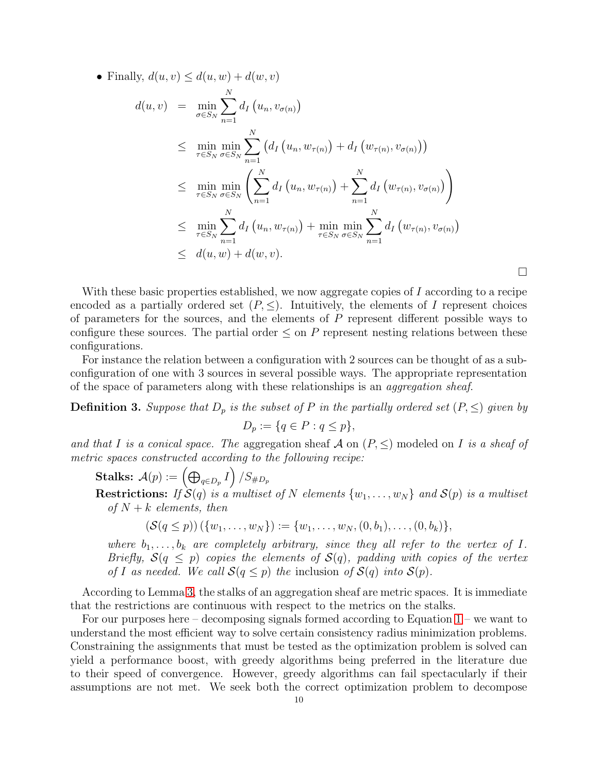• Finally,  $d(u, v) \leq d(u, w) + d(w, v)$ 

$$
d(u, v) = \min_{\sigma \in S_N} \sum_{n=1}^N d_I(u_n, v_{\sigma(n)})
$$
  
\n
$$
\leq \min_{\tau \in S_N} \min_{\sigma \in S_N} \sum_{n=1}^N (d_I(u_n, w_{\tau(n)}) + d_I(w_{\tau(n)}, v_{\sigma(n)}))
$$
  
\n
$$
\leq \min_{\tau \in S_N} \min_{\sigma \in S_N} \left( \sum_{n=1}^N d_I(u_n, w_{\tau(n)}) + \sum_{n=1}^N d_I(w_{\tau(n)}, v_{\sigma(n)}) \right)
$$
  
\n
$$
\leq \min_{\tau \in S_N} \sum_{n=1}^N d_I(u_n, w_{\tau(n)}) + \min_{\tau \in S_N} \min_{\sigma \in S_N} \sum_{n=1}^N d_I(w_{\tau(n)}, v_{\sigma(n)})
$$
  
\n
$$
\leq d(u, w) + d(w, v).
$$

With these basic properties established, we now aggregate copies of  $I$  according to a recipe encoded as a partially ordered set  $(P, \leq)$ . Intuitively, the elements of I represent choices of parameters for the sources, and the elements of  $P$  represent different possible ways to configure these sources. The partial order  $\leq$  on P represent nesting relations between these configurations.

For instance the relation between a configuration with 2 sources can be thought of as a subconfiguration of one with 3 sources in several possible ways. The appropriate representation of the space of parameters along with these relationships is an aggregation sheaf.

**Definition 3.** Suppose that  $D_p$  is the subset of P in the partially ordered set  $(P, \leq)$  given by

$$
D_p := \{ q \in P : q \le p \},\
$$

and that I is a conical space. The aggregation sheaf A on  $(P, \leq)$  modeled on I is a sheaf of metric spaces constructed according to the following recipe:

 $\textbf{Stalks:} \ \ \mathcal{A}(p) := \left( \bigoplus_{q \in D_p} I \right) / S_{\# D_p}$ 

**Restrictions:** If  $S(q)$  is a multiset of N elements  $\{w_1, \ldots, w_N\}$  and  $S(p)$  is a multiset of  $N + k$  elements, then

$$
(\mathcal{S}(q \le p)) \left( \{w_1, \ldots, w_N\} \right) := \{w_1, \ldots, w_N, (0, b_1), \ldots, (0, b_k)\},\
$$

where  $b_1, \ldots, b_k$  are completely arbitrary, since they all refer to the vertex of I. Briefly,  $S(q \leq p)$  copies the elements of  $S(q)$ , padding with copies of the vertex of I as needed. We call  $S(q \leq p)$  the inclusion of  $S(q)$  into  $S(p)$ .

According to Lemma [3,](#page-8-1) the stalks of an aggregation sheaf are metric spaces. It is immediate that the restrictions are continuous with respect to the metrics on the stalks.

For our purposes here – decomposing signals formed according to Equation  $1$  – we want to understand the most efficient way to solve certain consistency radius minimization problems. Constraining the assignments that must be tested as the optimization problem is solved can yield a performance boost, with greedy algorithms being preferred in the literature due to their speed of convergence. However, greedy algorithms can fail spectacularly if their assumptions are not met. We seek both the correct optimization problem to decompose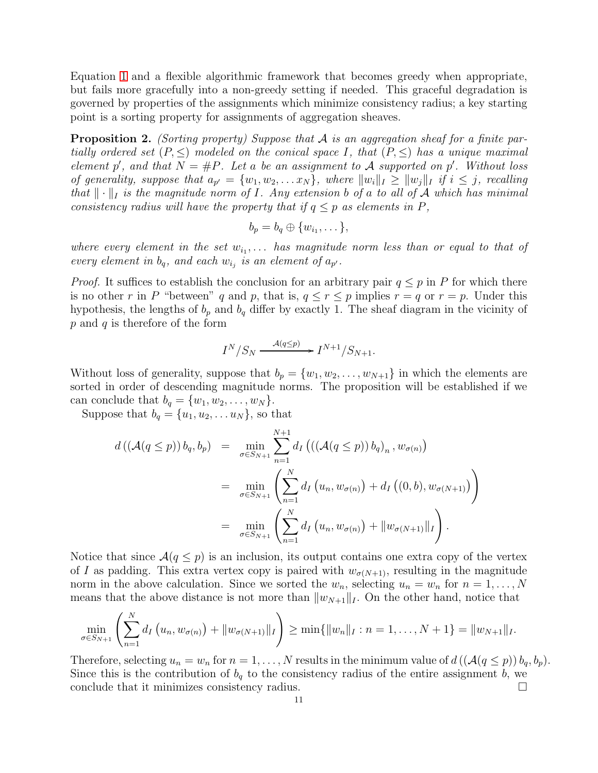Equation [1](#page-1-0) and a flexible algorithmic framework that becomes greedy when appropriate, but fails more gracefully into a non-greedy setting if needed. This graceful degradation is governed by properties of the assignments which minimize consistency radius; a key starting point is a sorting property for assignments of aggregation sheaves.

<span id="page-10-0"></span>**Proposition 2.** (Sorting property) Suppose that  $A$  is an aggregation sheaf for a finite partially ordered set  $(P, \leq)$  modeled on the conical space I, that  $(P, \leq)$  has a unique maximal element p', and that  $N = \#P$ . Let a be an assignment to A supported on p'. Without loss of generality, suppose that  $a_{p'} = \{w_1, w_2, \ldots x_N\}$ , where  $||w_i||_I \ge ||w_j||_I$  if  $i \le j$ , recalling that  $\|\cdot\|_I$  is the magnitude norm of I. Any extension b of a to all of A which has minimal consistency radius will have the property that if  $q \leq p$  as elements in P,

$$
b_p = b_q \oplus \{w_{i_1}, \dots\},\
$$

where every element in the set  $w_{i_1}, \ldots$  has magnitude norm less than or equal to that of every element in  $b_q$ , and each  $w_{i_j}$  is an element of  $a_{p'}$ .

*Proof.* It suffices to establish the conclusion for an arbitrary pair  $q \leq p$  in P for which there is no other r in P "between" q and p, that is,  $q \le r \le p$  implies  $r = q$  or  $r = p$ . Under this hypothesis, the lengths of  $b_p$  and  $b_q$  differ by exactly 1. The sheaf diagram in the vicinity of  $p$  and  $q$  is therefore of the form

$$
I^N/S_N \xrightarrow{A(q\leq p)} I^{N+1}/S_{N+1}.
$$

Without loss of generality, suppose that  $b_p = \{w_1, w_2, \ldots, w_{N+1}\}\$ in which the elements are sorted in order of descending magnitude norms. The proposition will be established if we can conclude that  $b_q = \{w_1, w_2, \ldots, w_N\}.$ 

Suppose that  $b_q = \{u_1, u_2, \dots u_N\}$ , so that

$$
d((\mathcal{A}(q \le p)) b_q, b_p) = \min_{\sigma \in S_{N+1}} \sum_{n=1}^{N+1} d_I (((\mathcal{A}(q \le p)) b_q)_n, w_{\sigma(n)})
$$
  

$$
= \min_{\sigma \in S_{N+1}} \left( \sum_{n=1}^N d_I (u_n, w_{\sigma(n)}) + d_I ((0, b), w_{\sigma(N+1)}) \right)
$$
  

$$
= \min_{\sigma \in S_{N+1}} \left( \sum_{n=1}^N d_I (u_n, w_{\sigma(n)}) + ||w_{\sigma(N+1)}||_I \right).
$$

Notice that since  $\mathcal{A}(q \leq p)$  is an inclusion, its output contains one extra copy of the vertex of I as padding. This extra vertex copy is paired with  $w_{\sigma(N+1)}$ , resulting in the magnitude norm in the above calculation. Since we sorted the  $w_n$ , selecting  $u_n = w_n$  for  $n = 1, ..., N$ means that the above distance is not more than  $||w_{N+1}||_I$ . On the other hand, notice that

$$
\min_{\sigma \in S_{N+1}} \left( \sum_{n=1}^N d_I \left( u_n, w_{\sigma(n)} \right) + ||w_{\sigma(N+1)}||_I \right) \geq \min \{ ||w_n||_I : n = 1, \ldots, N+1 \} = ||w_{N+1}||_I.
$$

Therefore, selecting  $u_n = w_n$  for  $n = 1, ..., N$  results in the minimum value of  $d((\mathcal{A}(q \leq p)) b_q, b_p)$ . Since this is the contribution of  $b_q$  to the consistency radius of the entire assignment b, we conclude that it minimizes consistency radius.  $\Box$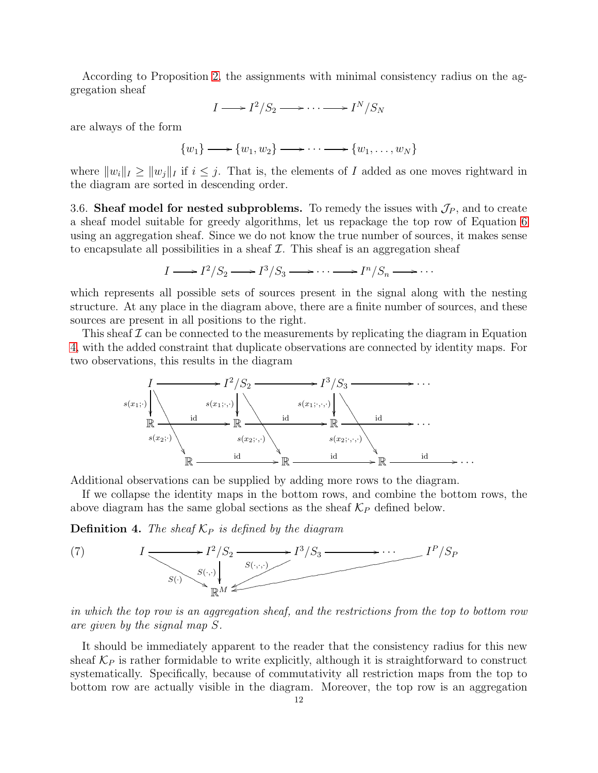According to Proposition [2,](#page-10-0) the assignments with minimal consistency radius on the aggregation sheaf

$$
I \longrightarrow I^2/S_2 \longrightarrow \cdots \longrightarrow I^N/S_N
$$

are always of the form

$$
\{w_1\} \longrightarrow \{w_1, w_2\} \longrightarrow \cdots \longrightarrow \{w_1, \ldots, w_N\}
$$

where  $||w_i||_I \ge ||w_i||_I$  if  $i \le j$ . That is, the elements of I added as one moves rightward in the diagram are sorted in descending order.

<span id="page-11-0"></span>3.6. Sheaf model for nested subproblems. To remedy the issues with  $\mathcal{J}_P$ , and to create a sheaf model suitable for greedy algorithms, let us repackage the top row of Equation [6](#page-7-1) using an aggregation sheaf. Since we do not know the true number of sources, it makes sense to encapsulate all possibilities in a sheaf  $\mathcal I$ . This sheaf is an aggregation sheaf

$$
I \longrightarrow I^2/S_2 \longrightarrow I^3/S_3 \longrightarrow \cdots \longrightarrow I^n/S_n \longrightarrow \cdots
$$

which represents all possible sets of sources present in the signal along with the nesting structure. At any place in the diagram above, there are a finite number of sources, and these sources are present in all positions to the right.

This sheaf  $\mathcal I$  can be connected to the measurements by replicating the diagram in Equation [4,](#page-6-2) with the added constraint that duplicate observations are connected by identity maps. For two observations, this results in the diagram



Additional observations can be supplied by adding more rows to the diagram.

If we collapse the identity maps in the bottom rows, and combine the bottom rows, the above diagram has the same global sections as the sheaf  $\mathcal{K}_P$  defined below.

**Definition 4.** The sheaf  $\mathcal{K}_P$  is defined by the diagram

<span id="page-11-1"></span>(7) 
$$
I \longrightarrow I^2/S_2 \longrightarrow I^3/S_3 \longrightarrow \cdots \longrightarrow I^P/S_P
$$

in which the top row is an aggregation sheaf, and the restrictions from the top to bottom row are given by the signal map S.

It should be immediately apparent to the reader that the consistency radius for this new sheaf  $\mathcal{K}_P$  is rather formidable to write explicitly, although it is straightforward to construct systematically. Specifically, because of commutativity all restriction maps from the top to bottom row are actually visible in the diagram. Moreover, the top row is an aggregation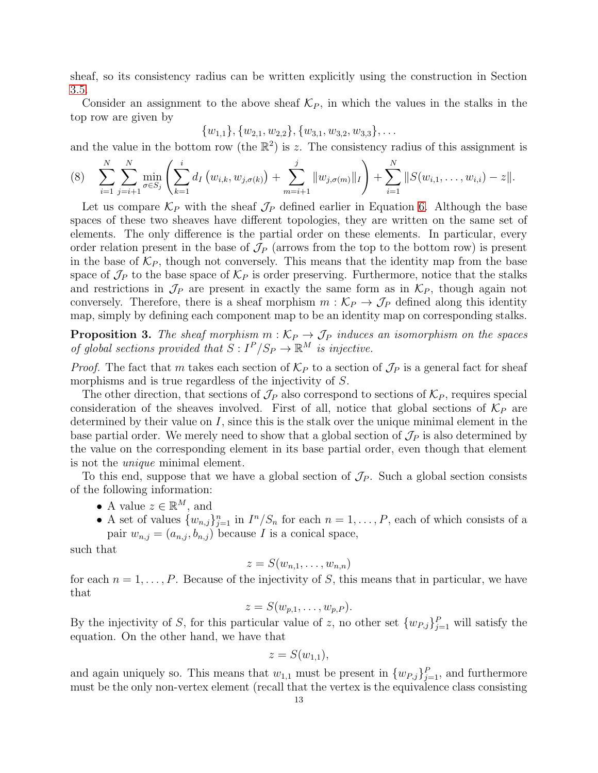sheaf, so its consistency radius can be written explicitly using the construction in Section [3.5.](#page-8-0)

Consider an assignment to the above sheaf  $\mathcal{K}_P$ , in which the values in the stalks in the top row are given by

$$
{w_{1,1}}, {w_{2,1}, w_{2,2}}, {w_{3,1}, w_{3,2}, w_{3,3}}, \ldots
$$

and the value in the bottom row (the  $\mathbb{R}^2$ ) is z. The consistency radius of this assignment is

<span id="page-12-1"></span>
$$
(8) \quad \sum_{i=1}^N \sum_{j=i+1}^N \min_{\sigma \in S_j} \left( \sum_{k=1}^i d_I \left( w_{i,k}, w_{j,\sigma(k)} \right) + \sum_{m=i+1}^j \| w_{j,\sigma(m)} \|_I \right) + \sum_{i=1}^N \| S(w_{i,1}, \ldots, w_{i,i}) - z \|.
$$

Let us compare  $\mathcal{K}_P$  with the sheaf  $\mathcal{J}_P$  defined earlier in Equation [6.](#page-7-1) Although the base spaces of these two sheaves have different topologies, they are written on the same set of elements. The only difference is the partial order on these elements. In particular, every order relation present in the base of  $\mathcal{J}_P$  (arrows from the top to the bottom row) is present in the base of  $\mathcal{K}_P$ , though not conversely. This means that the identity map from the base space of  $\mathcal{J}_P$  to the base space of  $\mathcal{K}_P$  is order preserving. Furthermore, notice that the stalks and restrictions in  $\mathcal{J}_P$  are present in exactly the same form as in  $\mathcal{K}_P$ , though again not conversely. Therefore, there is a sheaf morphism  $m : \mathcal{K}_P \to \mathcal{J}_P$  defined along this identity map, simply by defining each component map to be an identity map on corresponding stalks.

<span id="page-12-0"></span>**Proposition 3.** The sheaf morphism  $m : \mathcal{K}_P \to \mathcal{J}_P$  induces an isomorphism on the spaces of global sections provided that  $S: I^P/S_P \to \mathbb{R}^M$  is injective.

*Proof.* The fact that m takes each section of  $\mathcal{K}_P$  to a section of  $\mathcal{J}_P$  is a general fact for sheaf morphisms and is true regardless of the injectivity of S.

The other direction, that sections of  $\mathcal{J}_P$  also correspond to sections of  $\mathcal{K}_P$ , requires special consideration of the sheaves involved. First of all, notice that global sections of  $\mathcal{K}_P$  are determined by their value on  $I$ , since this is the stalk over the unique minimal element in the base partial order. We merely need to show that a global section of  $\mathcal{J}_P$  is also determined by the value on the corresponding element in its base partial order, even though that element is not the unique minimal element.

To this end, suppose that we have a global section of  $\mathcal{J}_P$ . Such a global section consists of the following information:

- A value  $z \in \mathbb{R}^M$ , and
- A set of values  $\{w_{n,j}\}_{j=1}^n$  in  $I^n/S_n$  for each  $n=1,\ldots,P$ , each of which consists of a pair  $w_{n,j} = (a_{n,j}, b_{n,j})$  because I is a conical space,

such that

$$
z = S(w_{n,1},\ldots,w_{n,n})
$$

for each  $n = 1, \ldots, P$ . Because of the injectivity of S, this means that in particular, we have that

$$
z = S(w_{p,1},\ldots,w_{p,P}).
$$

By the injectivity of S, for this particular value of z, no other set  $\{w_{P,j}\}_{j=1}^P$  will satisfy the equation. On the other hand, we have that

$$
z = S(w_{1,1}),
$$

and again uniquely so. This means that  $w_{1,1}$  must be present in  $\{w_{P,j}\}_{j=1}^P$ , and furthermore must be the only non-vertex element (recall that the vertex is the equivalence class consisting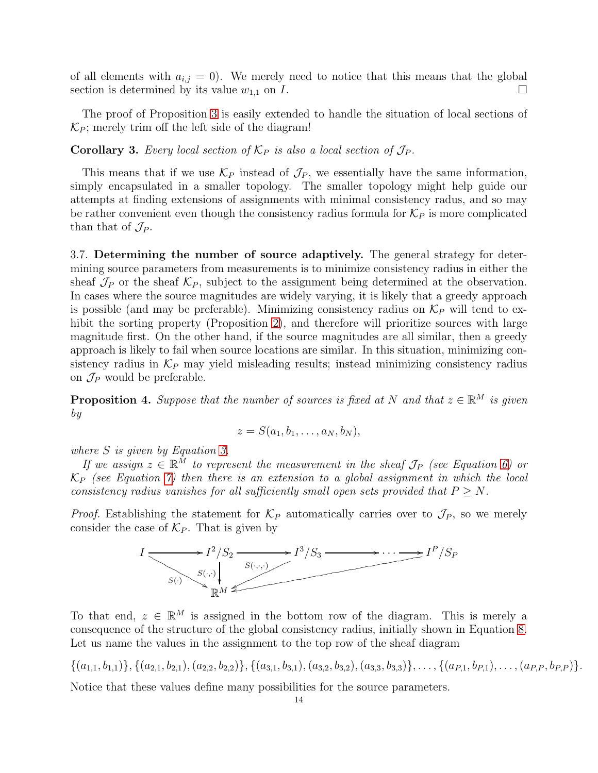of all elements with  $a_{i,j} = 0$ ). We merely need to notice that this means that the global section is determined by its value  $w_{1,1}$  on  $I$ .

The proof of Proposition [3](#page-12-0) is easily extended to handle the situation of local sections of  $\mathcal{K}_P$ ; merely trim off the left side of the diagram!

**Corollary 3.** Every local section of  $\mathcal{K}_P$  is also a local section of  $\mathcal{J}_P$ .

This means that if we use  $\mathcal{K}_P$  instead of  $\mathcal{J}_P$ , we essentially have the same information, simply encapsulated in a smaller topology. The smaller topology might help guide our attempts at finding extensions of assignments with minimal consistency radus, and so may be rather convenient even though the consistency radius formula for  $\mathcal{K}_P$  is more complicated than that of  $\mathcal{J}_P$ .

3.7. Determining the number of source adaptively. The general strategy for determining source parameters from measurements is to minimize consistency radius in either the sheaf  $\mathcal{J}_P$  or the sheaf  $\mathcal{K}_P$ , subject to the assignment being determined at the observation. In cases where the source magnitudes are widely varying, it is likely that a greedy approach is possible (and may be preferable). Minimizing consistency radius on  $\mathcal{K}_P$  will tend to ex-hibit the sorting property (Proposition [2\)](#page-10-0), and therefore will prioritize sources with large magnitude first. On the other hand, if the source magnitudes are all similar, then a greedy approach is likely to fail when source locations are similar. In this situation, minimizing consistency radius in  $\mathcal{K}_P$  may yield misleading results; instead minimizing consistency radius on  $\mathcal{J}_P$  would be preferable.

<span id="page-13-0"></span>**Proposition 4.** Suppose that the number of sources is fixed at N and that  $z \in \mathbb{R}^M$  is given by

$$
z = S(a_1, b_1, \ldots, a_N, b_N),
$$

where S is given by Equation [3.](#page-5-1)

If we assign  $z \in \mathbb{R}^{\bar{M}}$  to represent the measurement in the sheaf  $\mathcal{J}_P$  (see Equation [6\)](#page-7-1) or  $\mathcal{K}_P$  (see Equation [7\)](#page-11-1) then there is an extension to a global assignment in which the local consistency radius vanishes for all sufficiently small open sets provided that  $P > N$ .

*Proof.* Establishing the statement for  $\mathcal{K}_P$  automatically carries over to  $\mathcal{J}_P$ , so we merely consider the case of  $\mathcal{K}_P$ . That is given by



To that end,  $z \in \mathbb{R}^M$  is assigned in the bottom row of the diagram. This is merely a consequence of the structure of the global consistency radius, initially shown in Equation [8.](#page-12-1) Let us name the values in the assignment to the top row of the sheaf diagram

 $\{(a_{1,1}, b_{1,1})\}, \{(a_{2,1}, b_{2,1}), (a_{2,2}, b_{2,2})\}, \{(a_{3,1}, b_{3,1}), (a_{3,2}, b_{3,2}), (a_{3,3}, b_{3,3})\}, \ldots, \{(a_{P,1}, b_{P,1}), \ldots, (a_{P,P}, b_{P,P})\}.$ 

Notice that these values define many possibilities for the source parameters.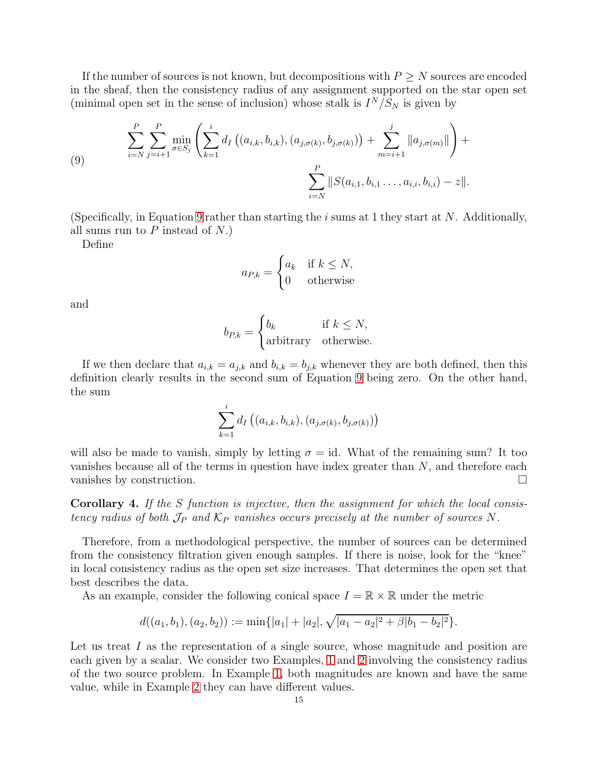If the number of sources is not known, but decompositions with  $P \geq N$  sources are encoded in the sheaf, then the consistency radius of any assignment supported on the star open set (minimal open set in the sense of inclusion) whose stalk is  $I^N/S_N$  is given by

<span id="page-14-0"></span>(9) 
$$
\sum_{i=N}^{P} \sum_{j=i+1}^{P} \min_{\sigma \in S_j} \left( \sum_{k=1}^{i} d_I \left( (a_{i,k}, b_{i,k}), (a_{j,\sigma(k)}, b_{j,\sigma(k)}) \right) + \sum_{m=i+1}^{j} ||a_{j,\sigma(m)}|| \right) + \sum_{i=N}^{P} ||S(a_{i,1}, b_{i,1} \dots, a_{i,i}, b_{i,i}) - z||.
$$

(Specifically, in Equation [9](#page-14-0) rather than starting the  $i$  sums at 1 they start at N. Additionally, all sums run to  $P$  instead of  $N$ .)

Define

$$
a_{P,k} = \begin{cases} a_k & \text{if } k \le N, \\ 0 & \text{otherwise} \end{cases}
$$

and

$$
b_{P,k} = \begin{cases} b_k & \text{if } k \le N, \\ \text{arbitrary} & \text{otherwise.} \end{cases}
$$

If we then declare that  $a_{i,k} = a_{j,k}$  and  $b_{i,k} = b_{j,k}$  whenever they are both defined, then this definition clearly results in the second sum of Equation [9](#page-14-0) being zero. On the other hand, the sum

$$
\sum_{k=1}^{i} d_I \left( (a_{i,k}, b_{i,k}), (a_{j, \sigma(k)}, b_{j, \sigma(k)}) \right)
$$

will also be made to vanish, simply by letting  $\sigma = id$ . What of the remaining sum? It too vanishes because all of the terms in question have index greater than  $N$ , and therefore each vanishes by construction.

<span id="page-14-1"></span>Corollary 4. If the S function is injective, then the assignment for which the local consistency radius of both  $\mathcal{J}_P$  and  $\mathcal{K}_P$  vanishes occurs precisely at the number of sources N.

Therefore, from a methodological perspective, the number of sources can be determined from the consistency filtration given enough samples. If there is noise, look for the "knee" in local consistency radius as the open set size increases. That determines the open set that best describes the data.

As an example, consider the following conical space  $I = \mathbb{R} \times \mathbb{R}$  under the metric

$$
d((a_1,b_1),(a_2,b_2)) := \min\{|a_1|+|a_2|, \sqrt{|a_1-a_2|^2+\beta|b_1-b_2|^2}\}.
$$

Let us treat  $I$  as the representation of a single source, whose magnitude and position are each given by a scalar. We consider two Examples, [1](#page-15-0) and [2](#page-16-0) involving the consistency radius of the two source problem. In Example [1,](#page-15-0) both magnitudes are known and have the same value, while in Example [2](#page-16-0) they can have different values.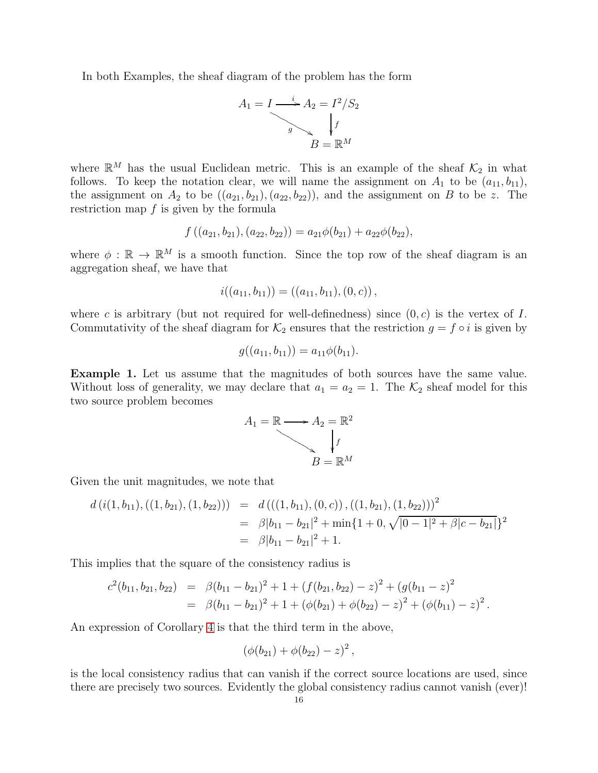In both Examples, the sheaf diagram of the problem has the form



where  $\mathbb{R}^M$  has the usual Euclidean metric. This is an example of the sheaf  $\mathcal{K}_2$  in what follows. To keep the notation clear, we will name the assignment on  $A_1$  to be  $(a_{11}, b_{11})$ , the assignment on  $A_2$  to be  $((a_{21}, b_{21}), (a_{22}, b_{22}))$ , and the assignment on B to be z. The restriction map  $f$  is given by the formula

$$
f((a_{21}, b_{21}), (a_{22}, b_{22})) = a_{21}\phi(b_{21}) + a_{22}\phi(b_{22}),
$$

where  $\phi : \mathbb{R} \to \mathbb{R}^M$  is a smooth function. Since the top row of the sheaf diagram is an aggregation sheaf, we have that

$$
i((a_{11},b_{11})) = ((a_{11},b_{11}), (0, c)),
$$

where c is arbitrary (but not required for well-definedness) since  $(0, c)$  is the vertex of I. Commutativity of the sheaf diagram for  $\mathcal{K}_2$  ensures that the restriction  $g = f \circ i$  is given by

$$
g((a_{11}, b_{11})) = a_{11}\phi(b_{11}).
$$

<span id="page-15-0"></span>Example 1. Let us assume that the magnitudes of both sources have the same value. Without loss of generality, we may declare that  $a_1 = a_2 = 1$ . The  $\mathcal{K}_2$  sheaf model for this two source problem becomes



Given the unit magnitudes, we note that

$$
d(i(1, b_{11}), ((1, b_{21}), (1, b_{22}))) = d(((1, b_{11}), (0, c)), ((1, b_{21}), (1, b_{22})))^2
$$
  
=  $\beta |b_{11} - b_{21}|^2 + \min\{1 + 0, \sqrt{|0 - 1|^2 + \beta|c - b_{21}}\}^2$   
=  $\beta |b_{11} - b_{21}|^2 + 1$ .

This implies that the square of the consistency radius is

$$
c^{2}(b_{11}, b_{21}, b_{22}) = \beta(b_{11} - b_{21})^{2} + 1 + (f(b_{21}, b_{22}) - z)^{2} + (g(b_{11} - z)^{2}
$$
  
=  $\beta(b_{11} - b_{21})^{2} + 1 + (\phi(b_{21}) + \phi(b_{22}) - z)^{2} + (\phi(b_{11}) - z)^{2}$ .

An expression of Corollary [4](#page-14-1) is that the third term in the above,

$$
(\phi(b_{21}) + \phi(b_{22}) - z)^2,
$$

is the local consistency radius that can vanish if the correct source locations are used, since there are precisely two sources. Evidently the global consistency radius cannot vanish (ever)!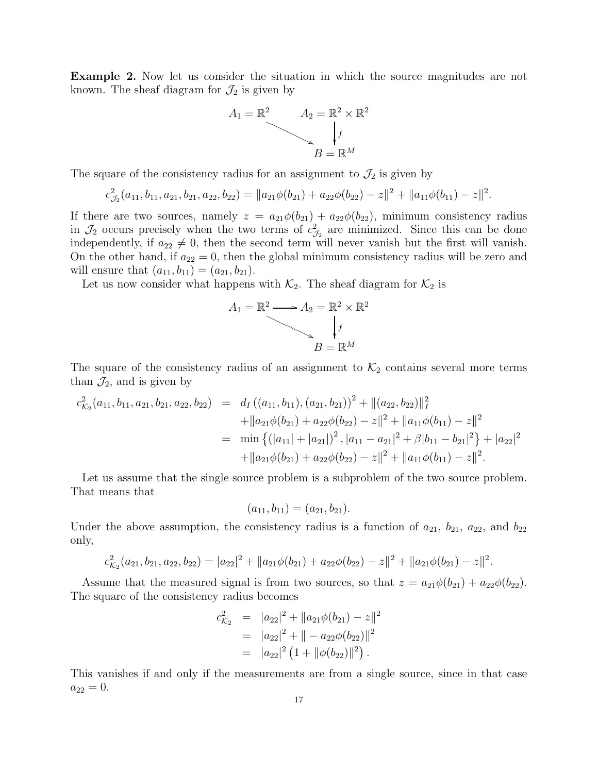<span id="page-16-0"></span>Example 2. Now let us consider the situation in which the source magnitudes are not known. The sheaf diagram for  $\mathcal{J}_2$  is given by



The square of the consistency radius for an assignment to  $\mathcal{J}_2$  is given by

$$
c_{\mathcal{J}_2}^2(a_{11}, b_{11}, a_{21}, b_{21}, a_{22}, b_{22}) = ||a_{21}\phi(b_{21}) + a_{22}\phi(b_{22}) - z||^2 + ||a_{11}\phi(b_{11}) - z||^2.
$$

If there are two sources, namely  $z = a_{21}\phi(b_{21}) + a_{22}\phi(b_{22})$ , minimum consistency radius in  $\mathcal{J}_2$  occurs precisely when the two terms of  $c_{\mathcal{J}_2}^2$  are minimized. Since this can be done independently, if  $a_{22} \neq 0$ , then the second term will never vanish but the first will vanish. On the other hand, if  $a_{22} = 0$ , then the global minimum consistency radius will be zero and will ensure that  $(a_{11}, b_{11}) = (a_{21}, b_{21}).$ 

Let us now consider what happens with  $\mathcal{K}_2$ . The sheaf diagram for  $\mathcal{K}_2$  is

$$
A_1 = \mathbb{R}^2 \longrightarrow A_2 = \mathbb{R}^2 \times \mathbb{R}^2
$$
  

$$
B = \mathbb{R}^M
$$

The square of the consistency radius of an assignment to  $\mathcal{K}_2$  contains several more terms than  $\mathcal{J}_2$ , and is given by

$$
c_{\mathcal{K}_2}^2(a_{11}, b_{11}, a_{21}, b_{21}, a_{22}, b_{22}) = d_I ((a_{11}, b_{11}), (a_{21}, b_{21}))^2 + ||(a_{22}, b_{22})||_I^2
$$
  
+  $||a_{21}\phi(b_{21}) + a_{22}\phi(b_{22}) - z||^2 + ||a_{11}\phi(b_{11}) - z||^2$   
=  $\min \{ (|a_{11}| + |a_{21}|)^2, |a_{11} - a_{21}|^2 + \beta |b_{11} - b_{21}|^2 \} + |a_{22}|^2$   
+  $||a_{21}\phi(b_{21}) + a_{22}\phi(b_{22}) - z||^2 + ||a_{11}\phi(b_{11}) - z||^2.$ 

Let us assume that the single source problem is a subproblem of the two source problem. That means that

$$
(a_{11}, b_{11}) = (a_{21}, b_{21}).
$$

Under the above assumption, the consistency radius is a function of  $a_{21}$ ,  $b_{21}$ ,  $a_{22}$ , and  $b_{22}$ only,

$$
c_{\mathcal{K}_2}^2(a_{21}, b_{21}, a_{22}, b_{22}) = |a_{22}|^2 + ||a_{21}\phi(b_{21}) + a_{22}\phi(b_{22}) - z||^2 + ||a_{21}\phi(b_{21}) - z||^2.
$$

Assume that the measured signal is from two sources, so that  $z = a_{21}\phi(b_{21}) + a_{22}\phi(b_{22})$ . The square of the consistency radius becomes

$$
c_{\mathcal{K}_2}^2 = |a_{22}|^2 + ||a_{21}\phi(b_{21}) - z||^2
$$
  
=  $|a_{22}|^2 + ||- a_{22}\phi(b_{22})||^2$   
=  $|a_{22}|^2 (1 + ||\phi(b_{22})||^2).$ 

This vanishes if and only if the measurements are from a single source, since in that case  $a_{22} = 0.$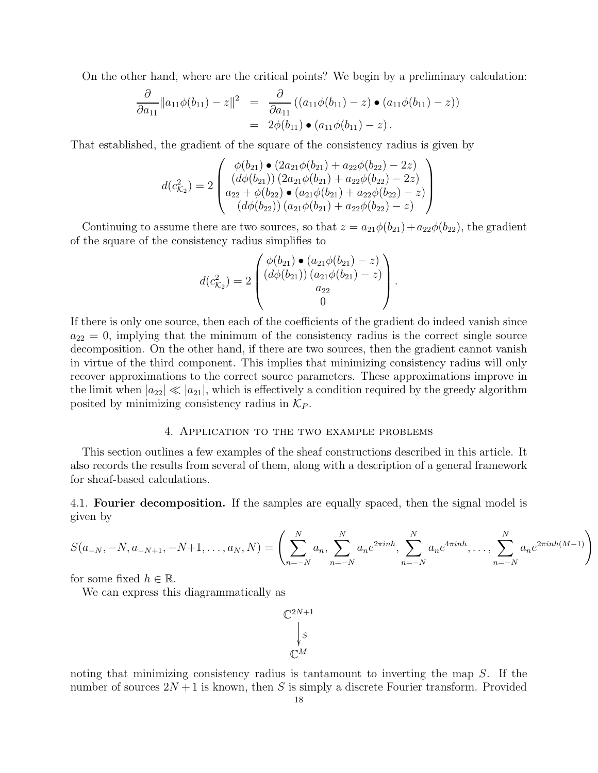On the other hand, where are the critical points? We begin by a preliminary calculation:

$$
\frac{\partial}{\partial a_{11}} \|a_{11}\phi(b_{11}) - z\|^2 = \frac{\partial}{\partial a_{11}} ((a_{11}\phi(b_{11}) - z) \bullet (a_{11}\phi(b_{11}) - z))
$$
  
=  $2\phi(b_{11}) \bullet (a_{11}\phi(b_{11}) - z).$ 

That established, the gradient of the square of the consistency radius is given by

$$
d(c_{\mathcal{K}_2}^2) = 2 \begin{pmatrix} \phi(b_{21}) \bullet (2a_{21}\phi(b_{21}) + a_{22}\phi(b_{22}) - 2z) \\ (d\phi(b_{21})) (2a_{21}\phi(b_{21}) + a_{22}\phi(b_{22}) - 2z) \\ a_{22} + \phi(b_{22}) \bullet (a_{21}\phi(b_{21}) + a_{22}\phi(b_{22}) - z) \\ (d\phi(b_{22})) (a_{21}\phi(b_{21}) + a_{22}\phi(b_{22}) - z) \end{pmatrix}
$$

Continuing to assume there are two sources, so that  $z = a_{21}\phi(b_{21}) + a_{22}\phi(b_{22})$ , the gradient of the square of the consistency radius simplifies to

$$
d(c_{\mathcal{K}_2}^2) = 2 \begin{pmatrix} \phi(b_{21}) \bullet (a_{21}\phi(b_{21}) - z) \\ (d\phi(b_{21})) (a_{21}\phi(b_{21}) - z) \\ a_{22} \\ 0 \end{pmatrix}.
$$

If there is only one source, then each of the coefficients of the gradient do indeed vanish since  $a_{22} = 0$ , implying that the minimum of the consistency radius is the correct single source decomposition. On the other hand, if there are two sources, then the gradient cannot vanish in virtue of the third component. This implies that minimizing consistency radius will only recover approximations to the correct source parameters. These approximations improve in the limit when  $|a_{22}| \ll |a_{21}|$ , which is effectively a condition required by the greedy algorithm posited by minimizing consistency radius in  $\mathcal{K}_P$ .

## 4. Application to the two example problems

This section outlines a few examples of the sheaf constructions described in this article. It also records the results from several of them, along with a description of a general framework for sheaf-based calculations.

4.1. **Fourier decomposition.** If the samples are equally spaced, then the signal model is given by

$$
S(a_{-N}, -N, a_{-N+1}, -N+1, \dots, a_N, N) = \left(\sum_{n=-N}^{N} a_n, \sum_{n=-N}^{N} a_n e^{2\pi i n h}, \sum_{n=-N}^{N} a_n e^{4\pi i n h}, \dots, \sum_{n=-N}^{N} a_n e^{2\pi i n h (M-1)}\right)
$$

for some fixed  $h \in \mathbb{R}$ .

We can express this diagrammatically as

 $\mathbb{C}^{2N+1}$ S  $\overline{\phantom{a}}$  $\overline{\mathbb{C}}$ M

noting that minimizing consistency radius is tantamount to inverting the map S. If the number of sources  $2N + 1$  is known, then S is simply a discrete Fourier transform. Provided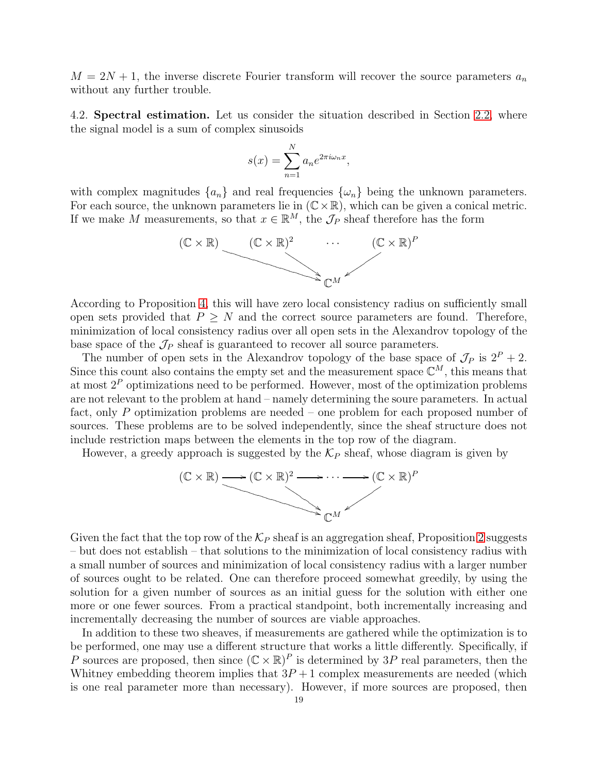$M = 2N + 1$ , the inverse discrete Fourier transform will recover the source parameters  $a_n$ without any further trouble.

4.2. Spectral estimation. Let us consider the situation described in Section [2.2,](#page-2-1) where the signal model is a sum of complex sinusoids

$$
s(x) = \sum_{n=1}^{N} a_n e^{2\pi i \omega_n x},
$$

with complex magnitudes  $\{a_n\}$  and real frequencies  $\{\omega_n\}$  being the unknown parameters. For each source, the unknown parameters lie in  $(\mathbb{C} \times \mathbb{R})$ , which can be given a conical metric. If we make M measurements, so that  $x \in \mathbb{R}^M$ , the  $\mathcal{J}_P$  sheaf therefore has the form



According to Proposition [4,](#page-13-0) this will have zero local consistency radius on sufficiently small open sets provided that  $P \geq N$  and the correct source parameters are found. Therefore, minimization of local consistency radius over all open sets in the Alexandrov topology of the base space of the  $\mathcal{J}_P$  sheaf is guaranteed to recover all source parameters.

The number of open sets in the Alexandrov topology of the base space of  $\mathcal{J}_P$  is  $2^P + 2$ . Since this count also contains the empty set and the measurement space  $\mathbb{C}^M$ , this means that at most  $2^P$  optimizations need to be performed. However, most of the optimization problems are not relevant to the problem at hand – namely determining the soure parameters. In actual fact, only P optimization problems are needed – one problem for each proposed number of sources. These problems are to be solved independently, since the sheaf structure does not include restriction maps between the elements in the top row of the diagram.

However, a greedy approach is suggested by the  $\mathcal{K}_P$  sheaf, whose diagram is given by



Given the fact that the top row of the  $\mathcal{K}_P$  sheaf is an aggregation sheaf, Proposition [2](#page-10-0) suggests – but does not establish – that solutions to the minimization of local consistency radius with a small number of sources and minimization of local consistency radius with a larger number of sources ought to be related. One can therefore proceed somewhat greedily, by using the solution for a given number of sources as an initial guess for the solution with either one more or one fewer sources. From a practical standpoint, both incrementally increasing and incrementally decreasing the number of sources are viable approaches.

In addition to these two sheaves, if measurements are gathered while the optimization is to be performed, one may use a different structure that works a little differently. Specifically, if P sources are proposed, then since  $(\mathbb{C} \times \mathbb{R})^P$  is determined by 3P real parameters, then the Whitney embedding theorem implies that  $3P + 1$  complex measurements are needed (which is one real parameter more than necessary). However, if more sources are proposed, then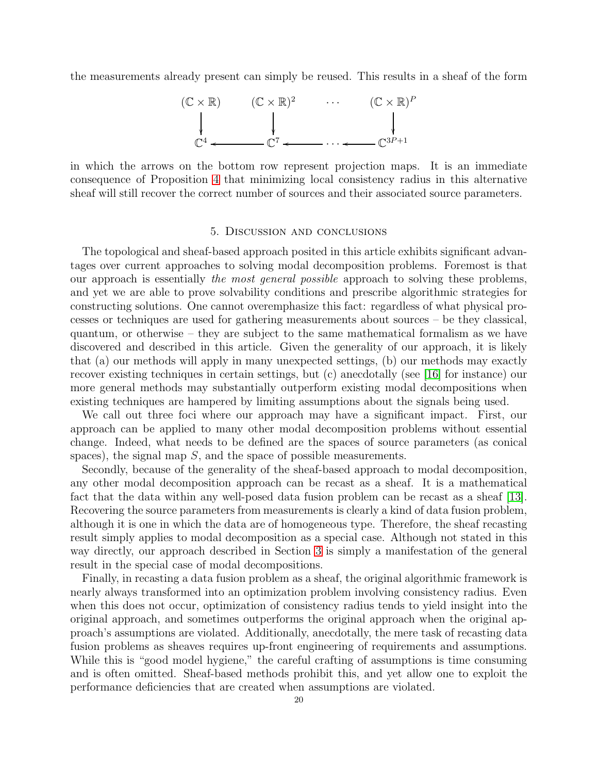the measurements already present can simply be reused. This results in a sheaf of the form



in which the arrows on the bottom row represent projection maps. It is an immediate consequence of Proposition [4](#page-13-0) that minimizing local consistency radius in this alternative sheaf will still recover the correct number of sources and their associated source parameters.

#### 5. Discussion and conclusions

The topological and sheaf-based approach posited in this article exhibits significant advantages over current approaches to solving modal decomposition problems. Foremost is that our approach is essentially the most general possible approach to solving these problems, and yet we are able to prove solvability conditions and prescribe algorithmic strategies for constructing solutions. One cannot overemphasize this fact: regardless of what physical processes or techniques are used for gathering measurements about sources – be they classical, quantum, or otherwise – they are subject to the same mathematical formalism as we have discovered and described in this article. Given the generality of our approach, it is likely that (a) our methods will apply in many unexpected settings, (b) our methods may exactly recover existing techniques in certain settings, but (c) anecdotally (see [\[16\]](#page-20-1) for instance) our more general methods may substantially outperform existing modal decompositions when existing techniques are hampered by limiting assumptions about the signals being used.

We call out three foci where our approach may have a significant impact. First, our approach can be applied to many other modal decomposition problems without essential change. Indeed, what needs to be defined are the spaces of source parameters (as conical spaces), the signal map  $S$ , and the space of possible measurements.

Secondly, because of the generality of the sheaf-based approach to modal decomposition, any other modal decomposition approach can be recast as a sheaf. It is a mathematical fact that the data within any well-posed data fusion problem can be recast as a sheaf [\[13\]](#page-20-17). Recovering the source parameters from measurements is clearly a kind of data fusion problem, although it is one in which the data are of homogeneous type. Therefore, the sheaf recasting result simply applies to modal decomposition as a special case. Although not stated in this way directly, our approach described in Section [3](#page-2-0) is simply a manifestation of the general result in the special case of modal decompositions.

Finally, in recasting a data fusion problem as a sheaf, the original algorithmic framework is nearly always transformed into an optimization problem involving consistency radius. Even when this does not occur, optimization of consistency radius tends to yield insight into the original approach, and sometimes outperforms the original approach when the original approach's assumptions are violated. Additionally, anecdotally, the mere task of recasting data fusion problems as sheaves requires up-front engineering of requirements and assumptions. While this is "good model hygiene," the careful crafting of assumptions is time consuming and is often omitted. Sheaf-based methods prohibit this, and yet allow one to exploit the performance deficiencies that are created when assumptions are violated.